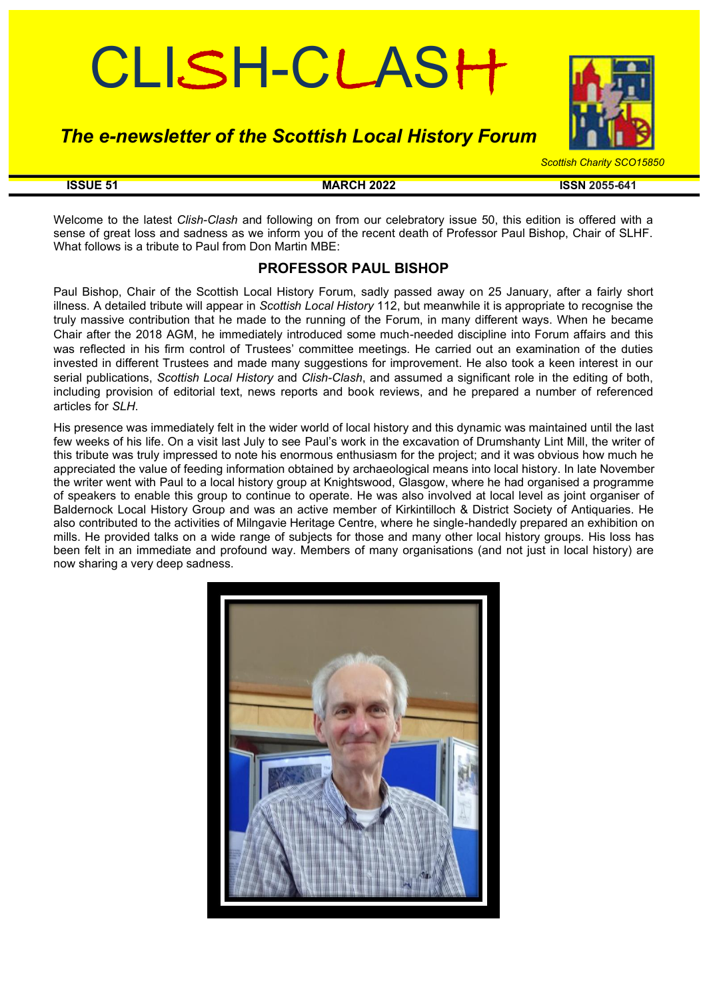# CLISH-CLASH

# *The e-newsletter of the Scottish Local History Forum*



#### **ISSUE 51 MARCH 2022 ISSN 2055-641**

Welcome to the latest *Clish-Clash* and following on from our celebratory issue 50, this edition is offered with a sense of great loss and sadness as we inform you of the recent death of Professor Paul Bishop, Chair of SLHF. What follows is a tribute to Paul from Don Martin MBE:

# **PROFESSOR PAUL BISHOP**

Paul Bishop, Chair of the Scottish Local History Forum, sadly passed away on 25 January, after a fairly short illness. A detailed tribute will appear in *Scottish Local History* 112, but meanwhile it is appropriate to recognise the truly massive contribution that he made to the running of the Forum, in many different ways. When he became Chair after the 2018 AGM, he immediately introduced some much-needed discipline into Forum affairs and this was reflected in his firm control of Trustees' committee meetings. He carried out an examination of the duties invested in different Trustees and made many suggestions for improvement. He also took a keen interest in our serial publications, *Scottish Local History* and *Clish-Clash*, and assumed a significant role in the editing of both, including provision of editorial text, news reports and book reviews, and he prepared a number of referenced articles for *SLH*.

His presence was immediately felt in the wider world of local history and this dynamic was maintained until the last few weeks of his life. On a visit last July to see Paul's work in the excavation of Drumshanty Lint Mill, the writer of this tribute was truly impressed to note his enormous enthusiasm for the project; and it was obvious how much he appreciated the value of feeding information obtained by archaeological means into local history. In late November the writer went with Paul to a local history group at Knightswood, Glasgow, where he had organised a programme of speakers to enable this group to continue to operate. He was also involved at local level as joint organiser of Baldernock Local History Group and was an active member of Kirkintilloch & District Society of Antiquaries. He also contributed to the activities of Milngavie Heritage Centre, where he single-handedly prepared an exhibition on mills. He provided talks on a wide range of subjects for those and many other local history groups. His loss has been felt in an immediate and profound way. Members of many organisations (and not just in local history) are now sharing a very deep sadness.

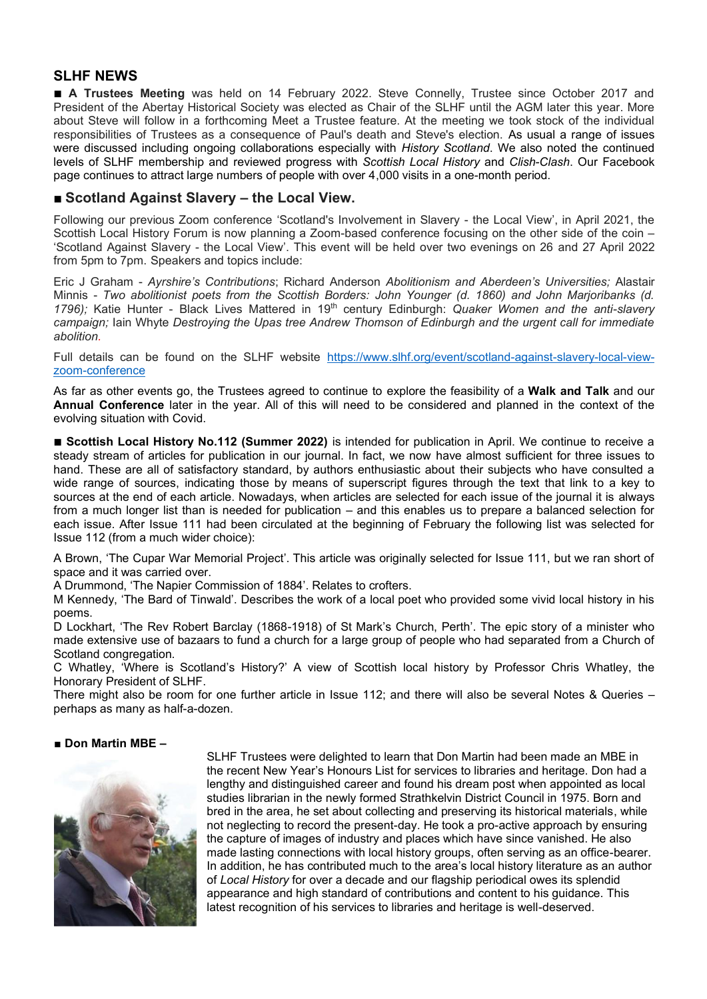# **SLHF NEWS**

■ **A Trustees Meeting** was held on 14 February 2022. Steve Connelly, Trustee since October 2017 and President of the Abertay Historical Society was elected as Chair of the SLHF until the AGM later this year. More about Steve will follow in a forthcoming Meet a Trustee feature. At the meeting we took stock of the individual responsibilities of Trustees as a consequence of Paul's death and Steve's election. As usual a range of issues were discussed including ongoing collaborations especially with *History Scotland*. We also noted the continued levels of SLHF membership and reviewed progress with *Scottish Local History* and *Clish-Clash*. Our Facebook page continues to attract large numbers of people with over 4,000 visits in a one-month period.

# ■ **Scotland Against Slavery – the Local View.**

Following our previous Zoom conference 'Scotland's Involvement in Slavery - the Local View', in April 2021, the Scottish Local History Forum is now planning a Zoom-based conference focusing on the other side of the coin – 'Scotland Against Slavery - the Local View'. This event will be held over two evenings on 26 and 27 April 2022 from 5pm to 7pm. Speakers and topics include:

Eric J Graham - *Ayrshire's Contributions*; Richard Anderson *Abolitionism and Aberdeen's Universities;* Alastair Minnis - *Two abolitionist poets from the Scottish Borders: John Younger (d. 1860) and John Marjoribanks (d. 1796);* Katie Hunter - Black Lives Mattered in 19th century Edinburgh: *Quaker Women and the anti-slavery campaign;* Iain Whyte *Destroying the Upas tree Andrew Thomson of Edinburgh and the urgent call for immediate abolition.*

Full details can be found on the SLHF website https://www.slhf.org/event/scotland-against-slavery-local-viewzoom-conference

As far as other events go, the Trustees agreed to continue to explore the feasibility of a **Walk and Talk** and our **Annual Conference** later in the year. All of this will need to be considered and planned in the context of the evolving situation with Covid.

■ **Scottish Local History No.112 (Summer 2022)** is intended for publication in April. We continue to receive a steady stream of articles for publication in our journal. In fact, we now have almost sufficient for three issues to hand. These are all of satisfactory standard, by authors enthusiastic about their subjects who have consulted a wide range of sources, indicating those by means of superscript figures through the text that link to a key to sources at the end of each article. Nowadays, when articles are selected for each issue of the journal it is always from a much longer list than is needed for publication – and this enables us to prepare a balanced selection for each issue. After Issue 111 had been circulated at the beginning of February the following list was selected for Issue 112 (from a much wider choice):

A Brown, 'The Cupar War Memorial Project'. This article was originally selected for Issue 111, but we ran short of space and it was carried over.

A Drummond, 'The Napier Commission of 1884'. Relates to crofters.

M Kennedy, 'The Bard of Tinwald'. Describes the work of a local poet who provided some vivid local history in his poems.

D Lockhart, 'The Rev Robert Barclay (1868-1918) of St Mark's Church, Perth'. The epic story of a minister who made extensive use of bazaars to fund a church for a large group of people who had separated from a Church of Scotland congregation.

C Whatley, 'Where is Scotland's History?' A view of Scottish local history by Professor Chris Whatley, the Honorary President of SLHF.

There might also be room for one further article in Issue 112; and there will also be several Notes & Queries – perhaps as many as half-a-dozen.

#### ■ **Don Martin MBE –**



SLHF Trustees were delighted to learn that Don Martin had been made an MBE in the recent New Year's Honours List for services to libraries and heritage. Don had a lengthy and distinguished career and found his dream post when appointed as local studies librarian in the newly formed Strathkelvin District Council in 1975. Born and bred in the area, he set about collecting and preserving its historical materials, while not neglecting to record the present-day. He took a pro-active approach by ensuring the capture of images of industry and places which have since vanished. He also made lasting connections with local history groups, often serving as an office-bearer. In addition, he has contributed much to the area's local history literature as an author of *Local History* for over a decade and our flagship periodical owes its splendid appearance and high standard of contributions and content to his guidance. This latest recognition of his services to libraries and heritage is well-deserved.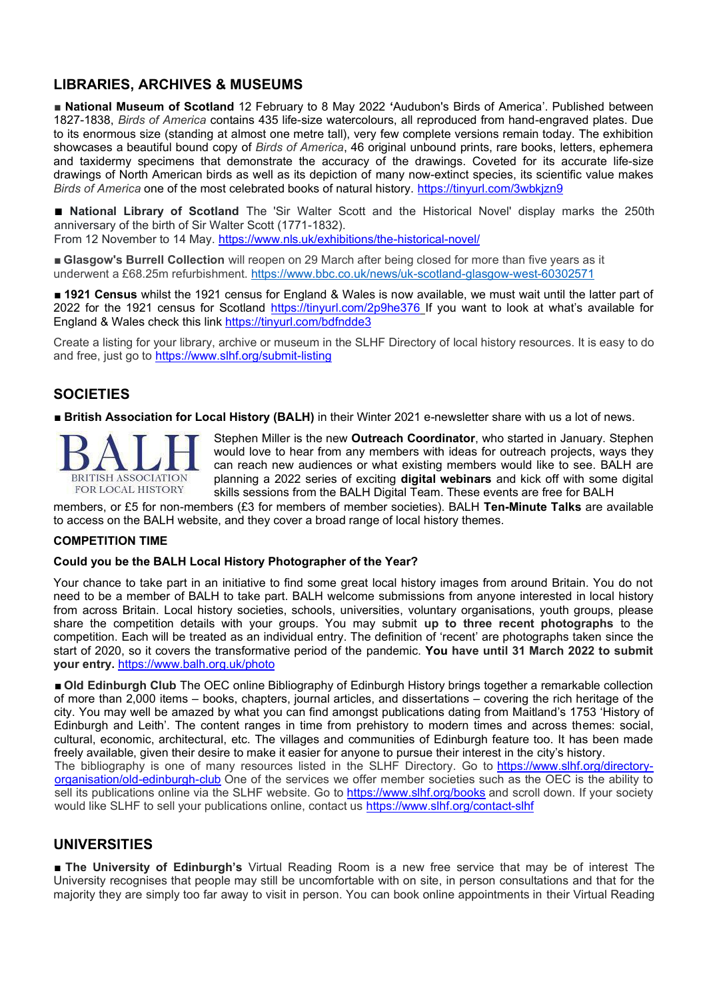# **LIBRARIES, ARCHIVES & MUSEUMS**

■ **National Museum of Scotland** 12 February to 8 May 2022 **'**Audubon's Birds of America'. Published between 1827-1838, *Birds of America* contains 435 life-size watercolours, all reproduced from hand-engraved plates. Due to its enormous size (standing at almost one metre tall), very few complete versions remain today. The exhibition showcases a beautiful bound copy of *Birds of America*, 46 original unbound prints, rare books, letters, ephemera and taxidermy specimens that demonstrate the accuracy of the drawings. Coveted for its accurate life-size drawings of North American birds as well as its depiction of many now-extinct species, its scientific value makes *Birds of America* one of the most celebrated books of natural history. https://tinyurl.com/3wbkjzn9

■ **National Library of Scotland** The 'Sir Walter Scott and the Historical Novel' display marks the 250th anniversary of the birth of Sir Walter Scott (1771-1832).

From 12 November to 14 May. https://www.nls.uk/exhibitions/the-historical-novel/

■ **Glasgow's Burrell Collection** will reopen on 29 March after being closed for more than five years as it underwent a £68.25m refurbishment. https://www.bbc.co.uk/news/uk-scotland-glasgow-west-60302571

■ 1921 Census whilst the 1921 census for England & Wales is now available, we must wait until the latter part of 2022 for the 1921 census for Scotland https://tinyurl.com/2p9he376 If you want to look at what's available for England & Wales check this link https://tinyurl.com/bdfndde3

Create a listing for your library, archive or museum in the SLHF Directory of local history resources. It is easy to do and free, just go to https://www.slhf.org/submit-listing

# **SOCIETIES**

■ **British Association for Local History (BALH)** in their Winter 2021 e-newsletter share with us a lot of news.



Stephen Miller is the new **Outreach Coordinator**, who started in January. Stephen would love to hear from any members with ideas for outreach projects, ways they can reach new audiences or what existing members would like to see. BALH are planning a 2022 series of exciting **digital webinars** and kick off with some digital skills sessions from the BALH Digital Team. These events are free for BALH

members, or £5 for non-members (£3 for members of member societies). BALH **Ten-Minute Talks** are available to access on the BALH website, and they cover a broad range of local history themes.

#### **COMPETITION TIME**

#### **Could you be the BALH Local History Photographer of the Year?**

Your chance to take part in an initiative to find some great local history images from around Britain. You do not need to be a member of BALH to take part. BALH welcome submissions from anyone interested in local history from across Britain. Local history societies, schools, universities, voluntary organisations, youth groups, please share the competition details with your groups. You may submit **up to three recent photographs** to the competition. Each will be treated as an individual entry. The definition of 'recent' are photographs taken since the start of 2020, so it covers the transformative period of the pandemic. **You have until 31 March 2022 to submit your entry.** https://www.balh.org.uk/photo

■ **Old Edinburgh Club** The OEC online Bibliography of Edinburgh History brings together a remarkable collection of more than 2,000 items – books, chapters, journal articles, and dissertations – covering the rich heritage of the city. You may well be amazed by what you can find amongst publications dating from Maitland's 1753 'History of Edinburgh and Leith'. The content ranges in time from prehistory to modern times and across themes: social, cultural, economic, architectural, etc. The villages and communities of Edinburgh feature too. It has been made freely available, given their desire to make it easier for anyone to pursue their interest in the city's history. The bibliography is one of many resources listed in the SLHF Directory. Go to https://www.slhf.org/directoryorganisation/old-edinburgh-club One of the services we offer member societies such as the OEC is the ability to sell its publications online via the SLHF website. Go to https://www.slhf.org/books and scroll down. If your society would like SLHF to sell your publications online, contact us https://www.slhf.org/contact-slhf

# **UNIVERSITIES**

■ **The University of Edinburgh's** Virtual Reading Room is a new free service that may be of interest The University recognises that people may still be uncomfortable with on site, in person consultations and that for the majority they are simply too far away to visit in person. You can book online appointments in their Virtual Reading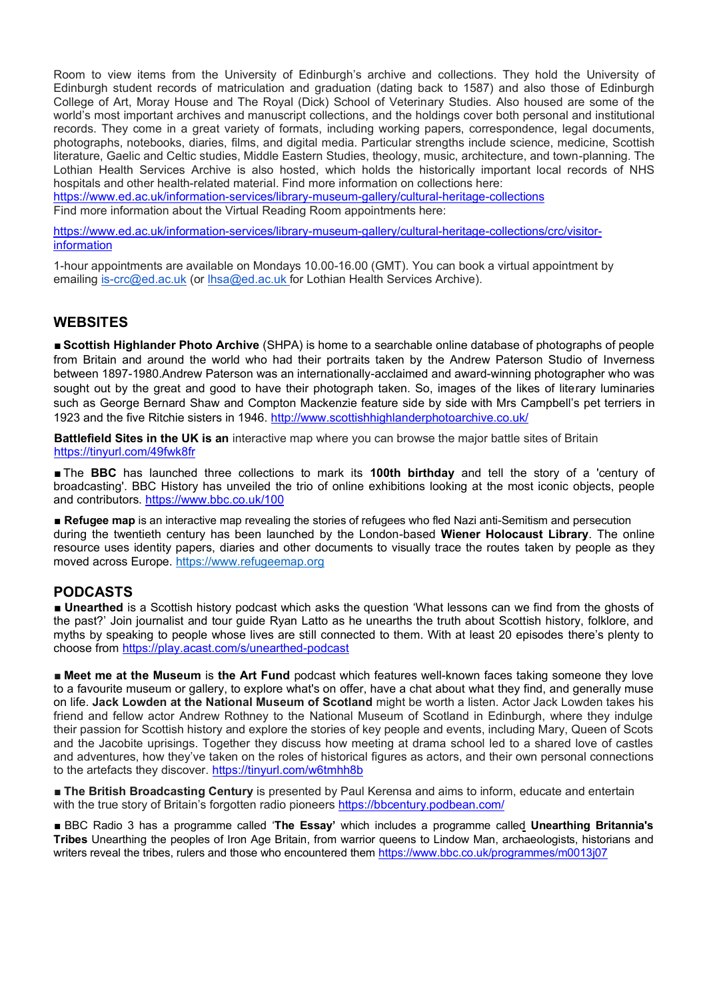Room to view items from the University of Edinburgh's archive and collections. They hold the University of Edinburgh student records of matriculation and graduation (dating back to 1587) and also those of Edinburgh College of Art, Moray House and The Royal (Dick) School of Veterinary Studies. Also housed are some of the world's most important archives and manuscript collections, and the holdings cover both personal and institutional records. They come in a great variety of formats, including working papers, correspondence, legal documents, photographs, notebooks, diaries, films, and digital media. Particular strengths include science, medicine, Scottish literature, Gaelic and Celtic studies, Middle Eastern Studies, theology, music, architecture, and town-planning. The Lothian Health Services Archive is also hosted, which holds the historically important local records of NHS hospitals and other health-related material. Find more information on collections here:

https://www.ed.ac.uk/information-services/library-museum-gallery/cultural-heritage-collections Find more information about the Virtual Reading Room appointments here:

https://www.ed.ac.uk/information-services/library-museum-gallery/cultural-heritage-collections/crc/visitorinformation

1-hour appointments are available on Mondays 10.00-16.00 (GMT). You can book a virtual appointment by emailing is-crc@ed.ac.uk (or lhsa@ed.ac.uk for Lothian Health Services Archive).

# **WEBSITES**

■ **Scottish Highlander Photo Archive** (SHPA) is home to a searchable online database of photographs of people from Britain and around the world who had their portraits taken by the Andrew Paterson Studio of Inverness between 1897-1980.Andrew Paterson was an internationally-acclaimed and award-winning photographer who was sought out by the great and good to have their photograph taken. So, images of the likes of literary luminaries such as George Bernard Shaw and Compton Mackenzie feature side by side with Mrs Campbell's pet terriers in 1923 and the five Ritchie sisters in 1946. http://www.scottishhighlanderphotoarchive.co.uk/

**Battlefield Sites in the UK is an** interactive map where you can browse the major battle sites of Britain https://tinyurl.com/49fwk8fr

■ The **BBC** has launched three collections to mark its **100th birthday** and tell the story of a 'century of broadcasting'. BBC History has unveiled the trio of online exhibitions looking at the most iconic objects, people and contributors. https://www.bbc.co.uk/100

■ **Refugee map** is an interactive map revealing the stories of refugees who fled Nazi anti-Semitism and persecution during the twentieth century has been launched by the London-based **Wiener Holocaust Library**. The online resource uses identity papers, diaries and other documents to visually trace the routes taken by people as they moved across Europe. https://www.refugeemap.org

# **PODCASTS**

■ **Unearthed** is a Scottish history podcast which asks the question 'What lessons can we find from the ghosts of the past?' Join journalist and tour guide Ryan Latto as he unearths the truth about Scottish history, folklore, and myths by speaking to people whose lives are still connected to them. With at least 20 episodes there's plenty to choose from https://play.acast.com/s/unearthed-podcast

■ **Meet me at the Museum** is **the Art Fund** podcast which features well-known faces taking someone they love to a favourite museum or gallery, to explore what's on offer, have a chat about what they find, and generally muse on life. **Jack Lowden at the National Museum of Scotland** might be worth a listen. Actor Jack Lowden takes his friend and fellow actor Andrew Rothney to the National Museum of Scotland in Edinburgh, where they indulge their passion for Scottish history and explore the stories of key people and events, including Mary, Queen of Scots and the Jacobite uprisings. Together they discuss how meeting at drama school led to a shared love of castles and adventures, how they've taken on the roles of historical figures as actors, and their own personal connections to the artefacts they discover. https://tinyurl.com/w6tmhh8b

■ **The British Broadcasting Century** is presented by Paul Kerensa and aims to inform, educate and entertain with the true story of Britain's forgotten radio pioneers https://bbcentury.podbean.com/

■ BBC Radio 3 has a programme called '**The Essay'** which includes a programme called **Unearthing Britannia's Tribes** Unearthing the peoples of Iron Age Britain, from warrior queens to Lindow Man, archaeologists, historians and writers reveal the tribes, rulers and those who encountered them https://www.bbc.co.uk/programmes/m0013j07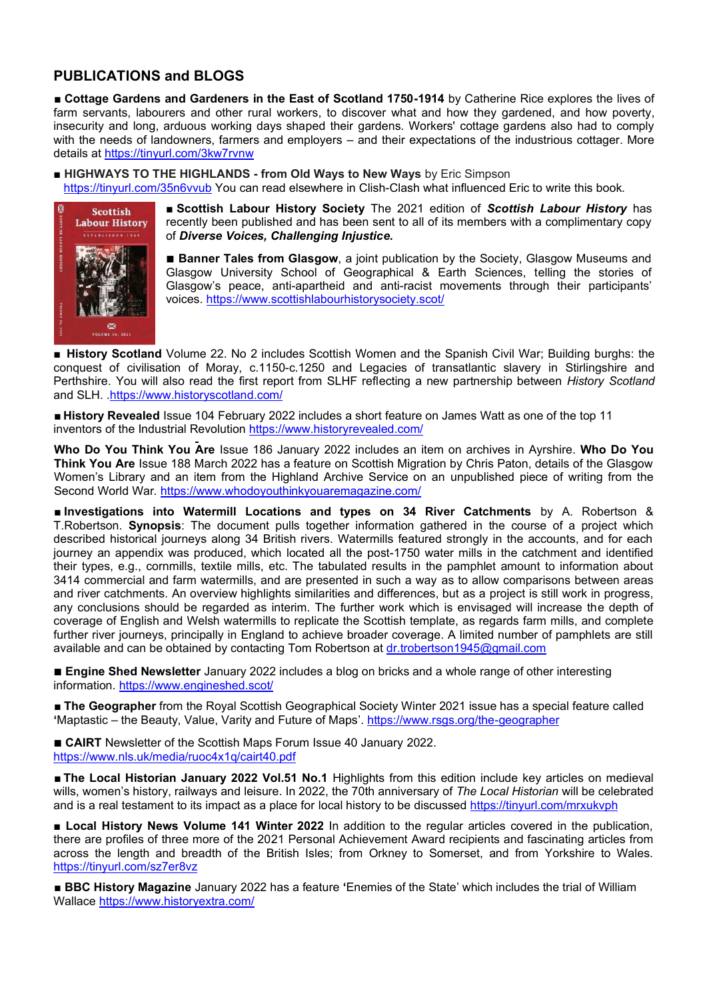# **PUBLICATIONS and BLOGS**

■ **Cottage Gardens and Gardeners in the East of Scotland 1750-1914** by Catherine Rice explores the lives of farm servants, labourers and other rural workers, to discover what and how they gardened, and how poverty, insecurity and long, arduous working days shaped their gardens. Workers' cottage gardens also had to comply with the needs of landowners, farmers and employers – and their expectations of the industrious cottager. More details at https://tinyurl.com/3kw7rvnw

■ **HIGHWAYS TO THE HIGHLANDS - from Old Ways to New Ways** by Eric Simpson

https://tinyurl.com/35n6vvub You can read elsewhere in Clish-Clash what influenced Eric to write this book.



■ **Scottish Labour History Society** The 2021 edition of *Scottish Labour History* has recently been published and has been sent to all of its members with a complimentary copy of *Diverse Voices, Challenging Injustice.*

■ **Banner Tales from Glasgow**, a joint publication by the Society, Glasgow Museums and Glasgow University School of Geographical & Earth Sciences, telling the stories of Glasgow's peace, anti-apartheid and anti-racist movements through their participants' voices. https://www.scottishlabourhistorysociety.scot/

■ **History Scotland** Volume 22. No 2 includes Scottish Women and the Spanish Civil War; Building burghs: the conquest of civilisation of Moray, c.1150-c.1250 and Legacies of transatlantic slavery in Stirlingshire and Perthshire. You will also read the first report from SLHF reflecting a new partnership between *History Scotland* and SLH. .https://www.historyscotland.com/

■ **History Revealed** Issue 104 February 2022 includes a short feature on James Watt as one of the top 11 inventors of the Industrial Revolution https://www.historyrevealed.com/

**Who Do You Think You Are** Issue 186 January 2022 includes an item on archives in Ayrshire. **Who Do You Think You Are** Issue 188 March 2022 has a feature on Scottish Migration by Chris Paton, details of the Glasgow Women's Library and an item from the Highland Archive Service on an unpublished piece of writing from the Second World War. https://www.whodoyouthinkyouaremagazine.com/

■ **Investigations into Watermill Locations and types on 34 River Catchments** by A. Robertson & T.Robertson. **Synopsis**: The document pulls together information gathered in the course of a project which described historical journeys along 34 British rivers. Watermills featured strongly in the accounts, and for each journey an appendix was produced, which located all the post-1750 water mills in the catchment and identified their types, e.g., cornmills, textile mills, etc. The tabulated results in the pamphlet amount to information about 3414 commercial and farm watermills, and are presented in such a way as to allow comparisons between areas and river catchments. An overview highlights similarities and differences, but as a project is still work in progress, any conclusions should be regarded as interim. The further work which is envisaged will increase the depth of coverage of English and Welsh watermills to replicate the Scottish template, as regards farm mills, and complete further river journeys, principally in England to achieve broader coverage. A limited number of pamphlets are still available and can be obtained by contacting Tom Robertson at dr.trobertson1945@gmail.com

■ **Engine Shed Newsletter** January 2022 includes a blog on bricks and a whole range of other interesting information. https://www.engineshed.scot/

■ **The Geographer** from the Royal Scottish Geographical Society Winter 2021 issue has a special feature called **'**Maptastic – the Beauty, Value, Varity and Future of Maps'. https://www.rsgs.org/the-geographer

■ **CAIRT** Newsletter of the Scottish Maps Forum Issue 40 January 2022. https://www.nls.uk/media/ruoc4x1q/cairt40.pdf

■ **The Local Historian January 2022 Vol.51 No.1** Highlights from this edition include key articles on medieval wills, women's history, railways and leisure. In 2022, the 70th anniversary of *The Local Historian* will be celebrated and is a real testament to its impact as a place for local history to be discussed https://tinyurl.com/mrxukvph

**■ Local History News Volume 141 Winter 2022** In addition to the regular articles covered in the publication, there are profiles of three more of the 2021 Personal Achievement Award recipients and fascinating articles from across the length and breadth of the British Isles; from Orkney to Somerset, and from Yorkshire to Wales. https://tinyurl.com/sz7er8vz

■ **BBC History Magazine** January 2022 has a feature **'**Enemies of the State' which includes the trial of William Wallace https://www.historyextra.com/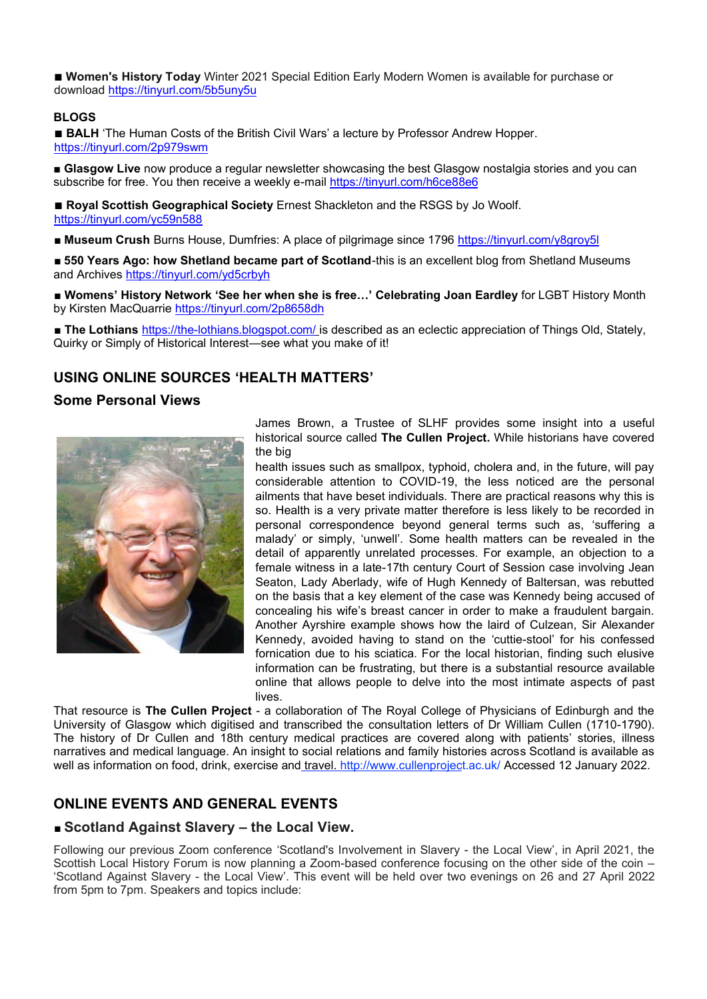■ **Women's History Today** Winter 2021 Special Edition Early Modern Women is available for purchase or download https://tinyurl.com/5b5uny5u

#### **BLOGS**

■ **BALH** 'The Human Costs of the British Civil Wars' a lecture by Professor Andrew Hopper. https://tinyurl.com/2p979swm

**■ Glasgow Live** now produce a regular newsletter showcasing the best Glasgow nostalgia stories and you can subscribe for free. You then receive a weekly e-mail https://tinyurl.com/h6ce88e6

■ **Royal Scottish Geographical Society** Ernest Shackleton and the RSGS by Jo Woolf. https://tinyurl.com/yc59n588

■ Museum Crush Burns House, Dumfries: A place of pilgrimage since 1796 https://tinyurl.com/y8groy5l

■ **550 Years Ago: how Shetland became part of Scotland**-this is an excellent blog from Shetland Museums and Archives https://tinyurl.com/yd5crbyh

■ **Womens' History Network 'See her when she is free…' Celebrating Joan Eardley** for LGBT History Month by Kirsten MacQuarrie https://tinyurl.com/2p8658dh

■ **The Lothians** https://the-lothians.blogspot.com/ is described as an eclectic appreciation of Things Old, Stately, Quirky or Simply of Historical Interest—see what you make of it!

# **USING ONLINE SOURCES 'HEALTH MATTERS'**

#### **Some Personal Views**



James Brown, a Trustee of SLHF provides some insight into a useful historical source called **The Cullen Project.** While historians have covered the big

health issues such as smallpox, typhoid, cholera and, in the future, will pay considerable attention to COVID-19, the less noticed are the personal ailments that have beset individuals. There are practical reasons why this is so. Health is a very private matter therefore is less likely to be recorded in personal correspondence beyond general terms such as, 'suffering a malady' or simply, 'unwell'. Some health matters can be revealed in the detail of apparently unrelated processes. For example, an objection to a female witness in a late-17th century Court of Session case involving Jean Seaton, Lady Aberlady, wife of Hugh Kennedy of Baltersan, was rebutted on the basis that a key element of the case was Kennedy being accused of concealing his wife's breast cancer in order to make a fraudulent bargain. Another Ayrshire example shows how the laird of Culzean, Sir Alexander Kennedy, avoided having to stand on the 'cuttie-stool' for his confessed fornication due to his sciatica. For the local historian, finding such elusive information can be frustrating, but there is a substantial resource available online that allows people to delve into the most intimate aspects of past lives.

That resource is **The Cullen Project** - a collaboration of The Royal College of Physicians of Edinburgh and the University of Glasgow which digitised and transcribed the consultation letters of Dr William Cullen (1710-1790). The history of Dr Cullen and 18th century medical practices are covered along with patients' stories, illness narratives and medical language. An insight to social relations and family histories across Scotland is available as well as information on food, drink, exercise and travel. http://www.cullenproject.ac.uk/ Accessed 12 January 2022.

# **ONLINE EVENTS AND GENERAL EVENTS**

#### ■ **Scotland Against Slavery – the Local View.**

Following our previous Zoom conference 'Scotland's Involvement in Slavery - the Local View', in April 2021, the Scottish Local History Forum is now planning a Zoom-based conference focusing on the other side of the coin – 'Scotland Against Slavery - the Local View'. This event will be held over two evenings on 26 and 27 April 2022 from 5pm to 7pm. Speakers and topics include: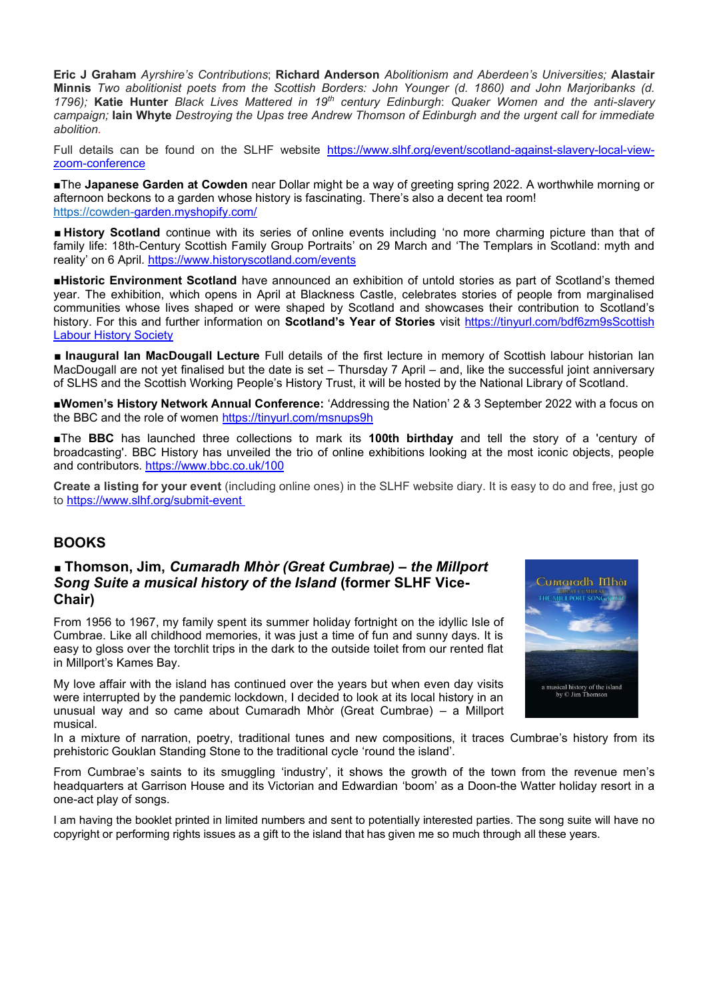**Eric J Graham** *Ayrshire's Contributions*; **Richard Anderson** *Abolitionism and Aberdeen's Universities;* **Alastair Minnis** *Two abolitionist poets from the Scottish Borders: John Younger (d. 1860) and John Marjoribanks (d. 1796);* **Katie Hunter** *Black Lives Mattered in 19th century Edinburgh*: *Quaker Women and the anti-slavery campaign;* **Iain Whyte** *Destroying the Upas tree Andrew Thomson of Edinburgh and the urgent call for immediate abolition.*

Full details can be found on the SLHF website https://www.slhf.org/event/scotland-against-slavery-local-viewzoom-conference

**■**The **Japanese Garden at Cowden** near Dollar might be a way of greeting spring 2022. A worthwhile morning or afternoon beckons to a garden whose history is fascinating. There's also a decent tea room! https://cowden-garden.myshopify.com/

■ **History Scotland** continue with its series of online events including 'no more charming picture than that of family life: 18th-Century Scottish Family Group Portraits' on 29 March and 'The Templars in Scotland: myth and reality' on 6 April. https://www.historyscotland.com/events

**■Historic Environment Scotland** have announced an exhibition of untold stories as part of Scotland's themed year. The exhibition, which opens in April at Blackness Castle, celebrates stories of people from marginalised communities whose lives shaped or were shaped by Scotland and showcases their contribution to Scotland's history. For this and further information on **Scotland's Year of Stories** visit https://tinyurl.com/bdf6zm9sScottish Labour History Society

■ **Inaugural Ian MacDougall Lecture** Full details of the first lecture in memory of Scottish labour historian Ian MacDougall are not yet finalised but the date is set – Thursday 7 April – and, like the successful joint anniversary of SLHS and the Scottish Working People's History Trust, it will be hosted by the National Library of Scotland.

**■Women's History Network Annual Conference:** 'Addressing the Nation' 2 & 3 September 2022 with a focus on the BBC and the role of women https://tinyurl.com/msnups9h

**■**The **BBC** has launched three collections to mark its **100th birthday** and tell the story of a 'century of broadcasting'. BBC History has unveiled the trio of online exhibitions looking at the most iconic objects, people and contributors. https://www.bbc.co.uk/100

**Create a listing for your event** (including online ones) in the SLHF website diary. It is easy to do and free, just go to https://www.slhf.org/submit-event

# **BOOKS**

# ■ **Thomson, Jim,** *Cumaradh Mhòr (Great Cumbrae) – the Millport Song Suite a musical history of the Island* **(former SLHF Vice-Chair)**

From 1956 to 1967, my family spent its summer holiday fortnight on the idyllic Isle of Cumbrae. Like all childhood memories, it was just a time of fun and sunny days. It is easy to gloss over the torchlit trips in the dark to the outside toilet from our rented flat in Millport's Kames Bay.

My love affair with the island has continued over the years but when even day visits were interrupted by the pandemic lockdown, I decided to look at its local history in an unusual way and so came about Cumaradh Mhòr (Great Cumbrae) – a Millport musical.

In a mixture of narration, poetry, traditional tunes and new compositions, it traces Cumbrae's history from its prehistoric Gouklan Standing Stone to the traditional cycle 'round the island'.

From Cumbrae's saints to its smuggling 'industry', it shows the growth of the town from the revenue men's headquarters at Garrison House and its Victorian and Edwardian 'boom' as a Doon-the Watter holiday resort in a one-act play of songs.

I am having the booklet printed in limited numbers and sent to potentially interested parties. The song suite will have no copyright or performing rights issues as a gift to the island that has given me so much through all these years.

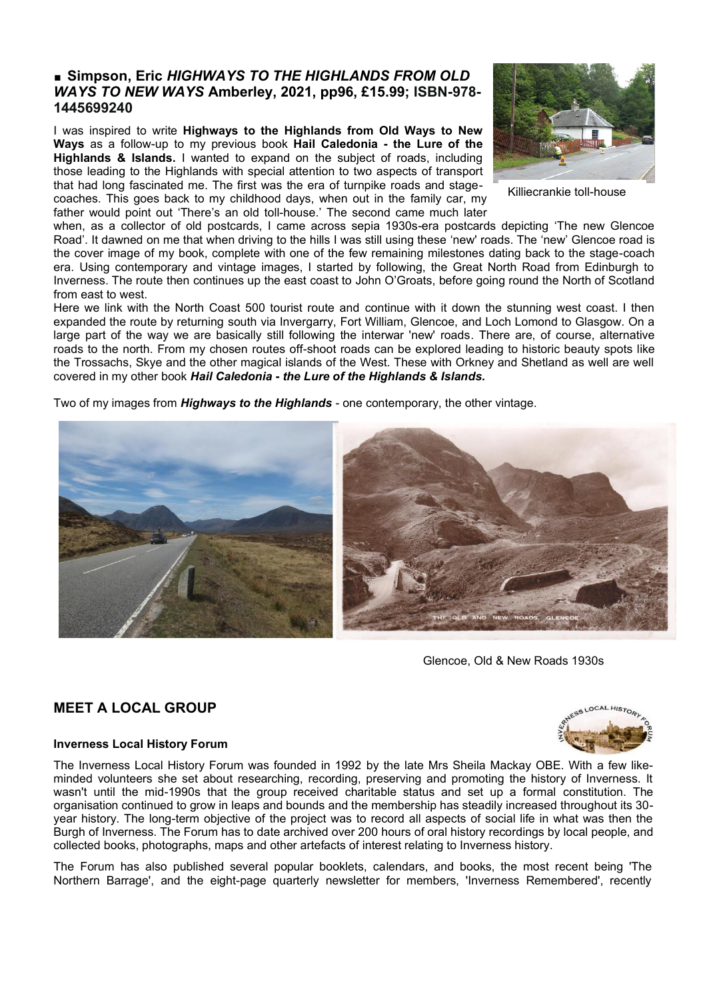# ■ **Simpson, Eric** *HIGHWAYS TO THE HIGHLANDS FROM OLD WAYS TO NEW WAYS* **Amberley, 2021, pp96, £15.99; ISBN-978- 1445699240**

I was inspired to write **Highways to the Highlands from Old Ways to New Ways** as a follow-up to my previous book **Hail Caledonia - the Lure of the Highlands & Islands.** I wanted to expand on the subject of roads, including those leading to the Highlands with special attention to two aspects of transport that had long fascinated me. The first was the era of turnpike roads and stagecoaches. This goes back to my childhood days, when out in the family car, my father would point out 'There's an old toll-house.' The second came much later



Killiecrankie toll-house

when, as a collector of old postcards, I came across sepia 1930s-era postcards depicting 'The new Glencoe Road'. It dawned on me that when driving to the hills I was still using these 'new' roads. The 'new' Glencoe road is the cover image of my book, complete with one of the few remaining milestones dating back to the stage-coach era. Using contemporary and vintage images, I started by following, the Great North Road from Edinburgh to Inverness. The route then continues up the east coast to John O'Groats, before going round the North of Scotland from east to west.

Here we link with the North Coast 500 tourist route and continue with it down the stunning west coast. I then expanded the route by returning south via Invergarry, Fort William, Glencoe, and Loch Lomond to Glasgow. On a large part of the way we are basically still following the interwar 'new' roads. There are, of course, alternative roads to the north. From my chosen routes off-shoot roads can be explored leading to historic beauty spots like the Trossachs, Skye and the other magical islands of the West. These with Orkney and Shetland as well are well covered in my other book *Hail Caledonia* **-** *the Lure of the Highlands & Islands.*

Two of my images from *Highways to the Highlands* - one contemporary, the other vintage.



Glencoe, Old & New Roads 1930s

# **MEET A LOCAL GROUP**

#### **Inverness Local History Forum**

The Inverness Local History Forum was founded in 1992 by the late Mrs Sheila Mackay OBE. With a few likeminded volunteers she set about researching, recording, preserving and promoting the history of Inverness. It wasn't until the mid-1990s that the group received charitable status and set up a formal constitution. The organisation continued to grow in leaps and bounds and the membership has steadily increased throughout its 30 year history. The long-term objective of the project was to record all aspects of social life in what was then the Burgh of Inverness. The Forum has to date archived over 200 hours of oral history recordings by local people, and collected books, photographs, maps and other artefacts of interest relating to Inverness history.

The Forum has also published several popular booklets, calendars, and books, the most recent being 'The Northern Barrage', and the eight-page quarterly newsletter for members, 'Inverness Remembered', recently

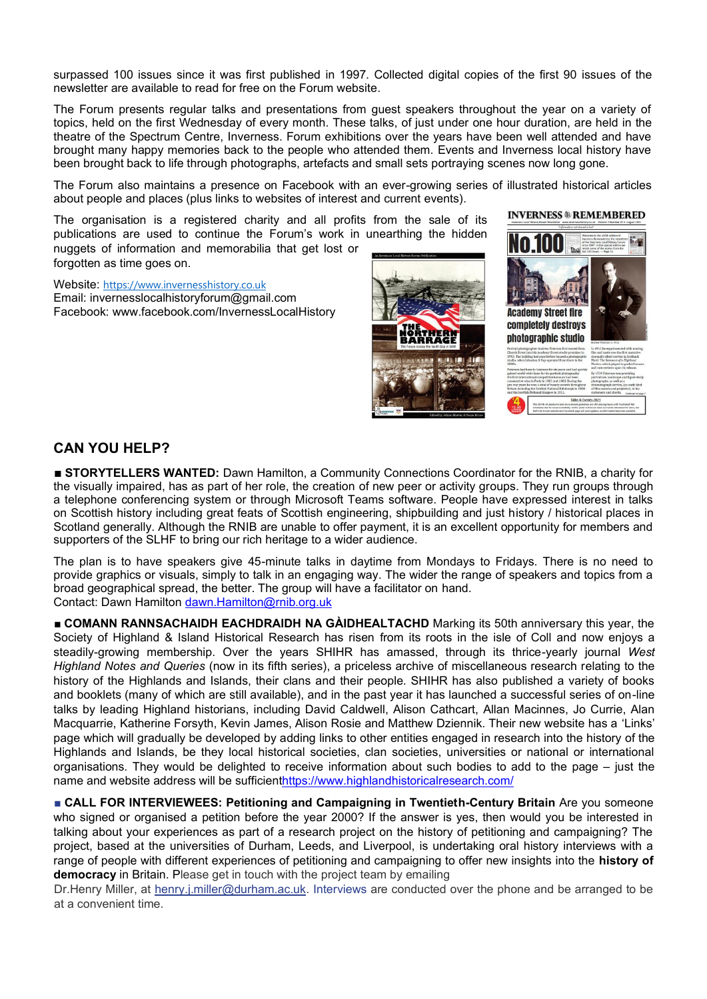surpassed 100 issues since it was first published in 1997. Collected digital copies of the first 90 issues of the newsletter are available to read for free on the Forum website.

The Forum presents regular talks and presentations from guest speakers throughout the year on a variety of topics, held on the first Wednesday of every month. These talks, of just under one hour duration, are held in the theatre of the Spectrum Centre, Inverness. Forum exhibitions over the years have been well attended and have brought many happy memories back to the people who attended them. Events and Inverness local history have been brought back to life through photographs, artefacts and small sets portraying scenes now long gone.

The Forum also maintains a presence on Facebook with an ever-growing series of illustrated historical articles about people and places (plus links to websites of interest and current events).

The organisation is a registered charity and all profits from the sale of its publications are used to continue the Forum's work in unearthing the hidden nuggets of information and memorabilia that get lost or forgotten as time goes on.

Website: https://www.invernesshistory.co.uk Email: invernesslocalhistoryforum@gmail.com Facebook: www.facebook.com/InvernessLocalHistory



**INVERNESS ® REMEMBERED** 

# **CAN YOU HELP?**

■ **STORYTELLERS WANTED:** Dawn Hamilton, a Community Connections Coordinator for the RNIB, a charity for the visually impaired, has as part of her role, the creation of new peer or activity groups. They run groups through a telephone conferencing system or through Microsoft Teams software. People have expressed interest in talks on Scottish history including great feats of Scottish engineering, shipbuilding and just history / historical places in Scotland generally. Although the RNIB are unable to offer payment, it is an excellent opportunity for members and supporters of the SLHF to bring our rich heritage to a wider audience.

The plan is to have speakers give 45-minute talks in daytime from Mondays to Fridays. There is no need to provide graphics or visuals, simply to talk in an engaging way. The wider the range of speakers and topics from a broad geographical spread, the better. The group will have a facilitator on hand. Contact: Dawn Hamilton dawn.Hamilton@rnib.org.uk

■ **COMANN RANNSACHAIDH EACHDRAIDH NA GÀIDHEALTACHD** Marking its 50th anniversary this year, the Society of Highland & Island Historical Research has risen from its roots in the isle of Coll and now enjoys a steadily-growing membership. Over the years SHIHR has amassed, through its thrice-yearly journal *West Highland Notes and Queries* (now in its fifth series), a priceless archive of miscellaneous research relating to the history of the Highlands and Islands, their clans and their people. SHIHR has also published a variety of books and booklets (many of which are still available), and in the past year it has launched a successful series of on-line talks by leading Highland historians, including David Caldwell, Alison Cathcart, Allan Macinnes, Jo Currie, Alan Macquarrie, Katherine Forsyth, Kevin James, Alison Rosie and Matthew Dziennik. Their new website has a 'Links' page which will gradually be developed by adding links to other entities engaged in research into the history of the Highlands and Islands, be they local historical societies, clan societies, universities or national or international organisations. They would be delighted to receive information about such bodies to add to the page – just the name and website address will be sufficienthttps://www.highlandhistoricalresearch.com/

■ **CALL FOR INTERVIEWEES: Petitioning and Campaigning in Twentieth-Century Britain** Are you someone who signed or organised a petition before the year 2000? If the answer is yes, then would you be interested in talking about your experiences as part of a research project on the history of petitioning and campaigning? The project, based at the universities of Durham, Leeds, and Liverpool, is undertaking oral history interviews with a range of people with different experiences of petitioning and campaigning to offer new insights into the **history of democracy** in Britain. Please get in touch with the project team by emailing

Dr.Henry Miller, at henry.j.miller@durham.ac.uk. Interviews are conducted over the phone and be arranged to be at a convenient time.